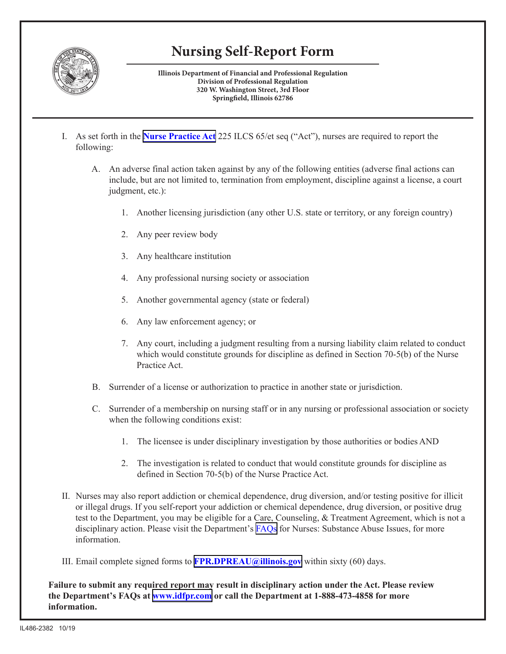

## **Nursing Self-Report Form**

**Illinois Department of Financial and Professional Regulation Division of Professional Regulation 320 W. Washington Street, 3rd Floor Springfield, Illinois 62786** 

- I. As set forth in the **[Nurse Practice Act](http://www.ilga.gov/legislation/ilcs/ilcs5.asp?ActID=1312&ChapterID=24)** 225 ILCS 65/et seq ("Act"), nurses are required to report the following:
	- A. An adverse final action taken against by any of the following entities (adverse final actions can include, but are not limited to, termination from employment, discipline against a license, a court judgment, etc.):
		- 1. Another licensing jurisdiction (any other U.S. state or territory, or any foreign country)
		- 2. Any peer review body
		- 3. Any healthcare institution
		- 4. Any professional nursing society or association
		- 5. Another governmental agency (state or federal)
		- 6. Any law enforcement agency; or
		- 7. Any court, including a judgment resulting from a nursing liability claim related to conduct which would constitute grounds for discipline as defined in Section  $70-5(b)$  of the Nurse Practice Act.
	- B. Surrender of a license or authorization to practice in another state or jurisdiction.
	- C. Surrender of a membership on nursing staff or in any nursing or professional association or society when the following conditions exist:
		- 1. The licensee is under disciplinary investigation by those authorities or bodies AND
		- 2. The investigation is related to conduct that would constitute grounds for discipline as defined in Section  $70-5(b)$  of the Nurse Practice Act.
- II. Nurses may also report addiction or chemical dependence, drug diversion, and/or testing positive for illicit or illegal drugs. If you self-report your addiction or chemical dependence, drug diversion, or positive drug test to the Department, you may be eligible for a Care, Counseling, & Treatment Agreement, which is not a disciplinary action. Please visit the Department's [FAQs](https://www.idfpr.com/FAQ/DPR/CCT FAQs 10 15 19.pdf) for Nurses: Substance Abuse Issues, for more information.
- III. Email complete signed forms to **[FPR.DPREAU@illinois.gov](mailto:FPR.DPREAU@illinois.gov)** within sixty (60) days.

**Failure to submit any required report may result in disciplinary action under the Act. Please review the Department's FAQs at [www.idfpr.com](http://www.idfpr.com/) or call the Department at 1-888-473-4858 for more information.**